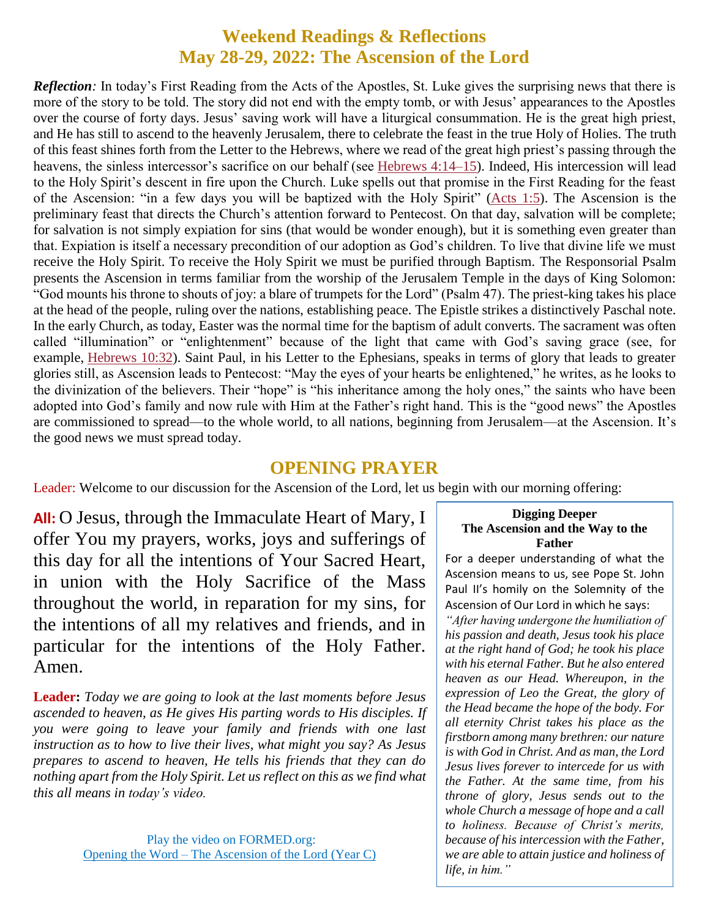#### **Weekend Readings & Reflections May 28-29, 2022: The Ascension of the Lord**

*Reflection*: In today's First Reading from the Acts of the Apostles, St. Luke gives the surprising news that there is more of the story to be told. The story did not end with the empty tomb, or with Jesus' appearances to the Apostles over the course of forty days. Jesus' saving work will have a liturgical consummation. He is the great high priest, and He has still to ascend to the heavenly Jerusalem, there to celebrate the feast in the true Holy of Holies. The truth of this feast shines forth from the Letter to the Hebrews, where we read of the great high priest's passing through the heavens, the sinless intercessor's sacrifice on our behalf (see [Hebrews](https://biblia.com/bible/rsvce/Heb%204.14%E2%80%9315) 4:14–15). Indeed, His intercession will lead to the Holy Spirit's descent in fire upon the Church. Luke spells out that promise in the First Reading for the feast of the Ascension: "in a few days you will be baptized with the Holy Spirit" [\(Acts](https://biblia.com/bible/rsvce/Acts%201.5) 1:5). The Ascension is the preliminary feast that directs the Church's attention forward to Pentecost. On that day, salvation will be complete; for salvation is not simply expiation for sins (that would be wonder enough), but it is something even greater than that. Expiation is itself a necessary precondition of our adoption as God's children. To live that divine life we must receive the Holy Spirit. To receive the Holy Spirit we must be purified through Baptism. The Responsorial Psalm presents the Ascension in terms familiar from the worship of the Jerusalem Temple in the days of King Solomon: "God mounts his throne to shouts of joy: a blare of trumpets for the Lord" (Psalm 47). The priest-king takes his place at the head of the people, ruling over the nations, establishing peace. The Epistle strikes a distinctively Paschal note. In the early Church, as today, Easter was the normal time for the baptism of adult converts. The sacrament was often called "illumination" or "enlightenment" because of the light that came with God's saving grace (see, for example, [Hebrews](https://biblia.com/bible/rsvce/Heb%2010.32) 10:32). Saint Paul, in his Letter to the Ephesians, speaks in terms of glory that leads to greater glories still, as Ascension leads to Pentecost: "May the eyes of your hearts be enlightened," he writes, as he looks to the divinization of the believers. Their "hope" is "his inheritance among the holy ones," the saints who have been adopted into God's family and now rule with Him at the Father's right hand. This is the "good news" the Apostles are commissioned to spread—to the whole world, to all nations, beginning from Jerusalem—at the Ascension. It's the good news we must spread today.

#### **OPENING PRAYER**

Leader: Welcome to our discussion for the Ascension of the Lord, let us begin with our morning offering:

**All:** O Jesus, through the Immaculate Heart of Mary, I offer You my prayers, works, joys and sufferings of this day for all the intentions of Your Sacred Heart, in union with the Holy Sacrifice of the Mass throughout the world, in reparation for my sins, for the intentions of all my relatives and friends, and in particular for the intentions of the Holy Father. Amen.

**Leader:** *Today we are going to look at the last moments before Jesus ascended to heaven, as He gives His parting words to His disciples. If you were going to leave your family and friends with one last instruction as to how to live their lives, what might you say? As Jesus prepares to ascend to heaven, He tells his friends that they can do nothing apart from the Holy Spirit. Let us reflect on this as we find what this all means in today's video.*

#### **Digging Deeper The Ascension and the Way to the Father**

For a deeper understanding of what the Ascension means to us, see Pope St. John Paul II's homily on the Solemnity of the Ascension of Our Lord in which he says:

*"After having undergone the humiliation of his passion and death, Jesus took his place at the right hand of God; he took his place with his eternal Father. But he also entered heaven as our Head. Whereupon, in the expression of Leo the Great, the glory of the Head became the hope of the body. For all eternity Christ takes his place as the firstborn among many brethren: our nature is with God in Christ. And as man, the Lord Jesus lives forever to intercede for us with the Father. At the same time, from his throne of glory, Jesus sends out to the whole Church a message of hope and a call to holiness. Because of Christ's merits, because of his intercession with the Father, we are able to attain justice and holiness of life, in him."*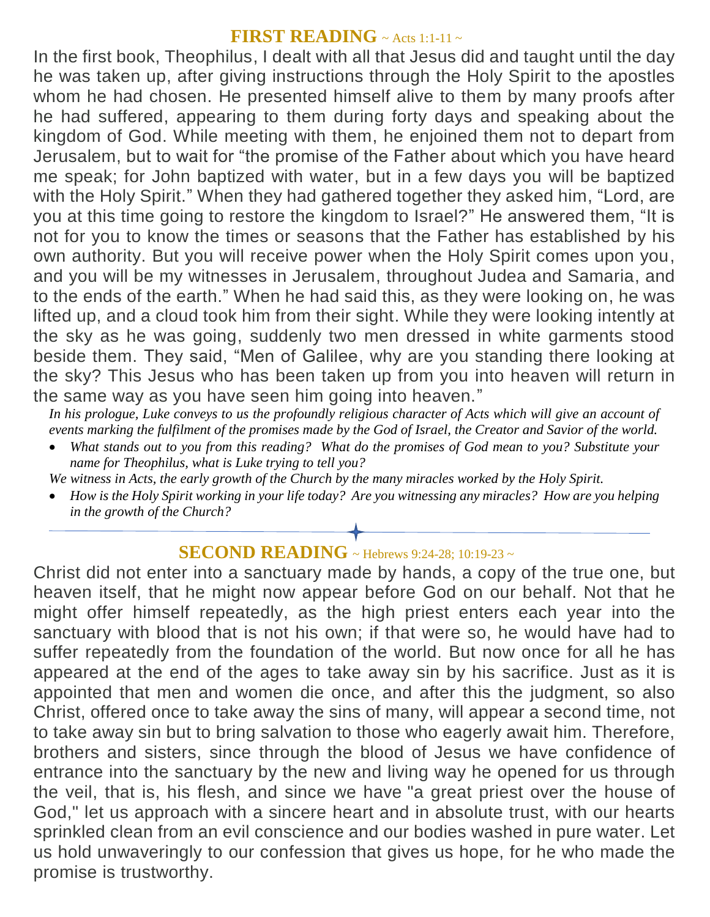#### **FIRST READING** ~ Acts 1:1-11 <sup>~</sup>

In the first book, Theophilus, I dealt with all that Jesus did and taught until the day he was taken up, after giving instructions through the Holy Spirit to the apostles whom he had chosen. He presented himself alive to them by many proofs after he had suffered, appearing to them during forty days and speaking about the kingdom of God. While meeting with them, he enjoined them not to depart from Jerusalem, but to wait for "the promise of the Father about which you have heard me speak; for John baptized with water, but in a few days you will be baptized with the Holy Spirit." When they had gathered together they asked him, "Lord, are you at this time going to restore the kingdom to Israel?" He answered them, "It is not for you to know the times or seasons that the Father has established by his own authority. But you will receive power when the Holy Spirit comes upon you, and you will be my witnesses in Jerusalem, throughout Judea and Samaria, and to the ends of the earth." When he had said this, as they were looking on, he was lifted up, and a cloud took him from their sight. While they were looking intently at the sky as he was going, suddenly two men dressed in white garments stood beside them. They said, "Men of Galilee, why are you standing there looking at the sky? This Jesus who has been taken up from you into heaven will return in the same way as you have seen him going into heaven."

*In his prologue, Luke conveys to us the profoundly religious character of Acts which will give an account of events marking the fulfilment of the promises made by the God of Israel, the Creator and Savior of the world.*

 *What stands out to you from this reading? What do the promises of God mean to you? Substitute your name for Theophilus, what is Luke trying to tell you?*

*We witness in Acts, the early growth of the Church by the many miracles worked by the Holy Spirit.*

 *How is the Holy Spirit working in your life today? Are you witnessing any miracles? How are you helping in the growth of the Church?*

### **SECOND READING** ~ Hebrews 9:24-28; 10:19-23 ~

Christ did not enter into a sanctuary made by hands, a copy of the true one, but heaven itself, that he might now appear before God on our behalf. Not that he might offer himself repeatedly, as the high priest enters each year into the sanctuary with blood that is not his own; if that were so, he would have had to suffer repeatedly from the foundation of the world. But now once for all he has appeared at the end of the ages to take away sin by his sacrifice. Just as it is appointed that men and women die once, and after this the judgment, so also Christ, offered once to take away the sins of many, will appear a second time, not to take away sin but to bring salvation to those who eagerly await him. Therefore, brothers and sisters, since through the blood of Jesus we have confidence of entrance into the sanctuary by the new and living way he opened for us through the veil, that is, his flesh, and since we have "a great priest over the house of God," let us approach with a sincere heart and in absolute trust, with our hearts sprinkled clean from an evil conscience and our bodies washed in pure water. Let us hold unwaveringly to our confession that gives us hope, for he who made the promise is trustworthy.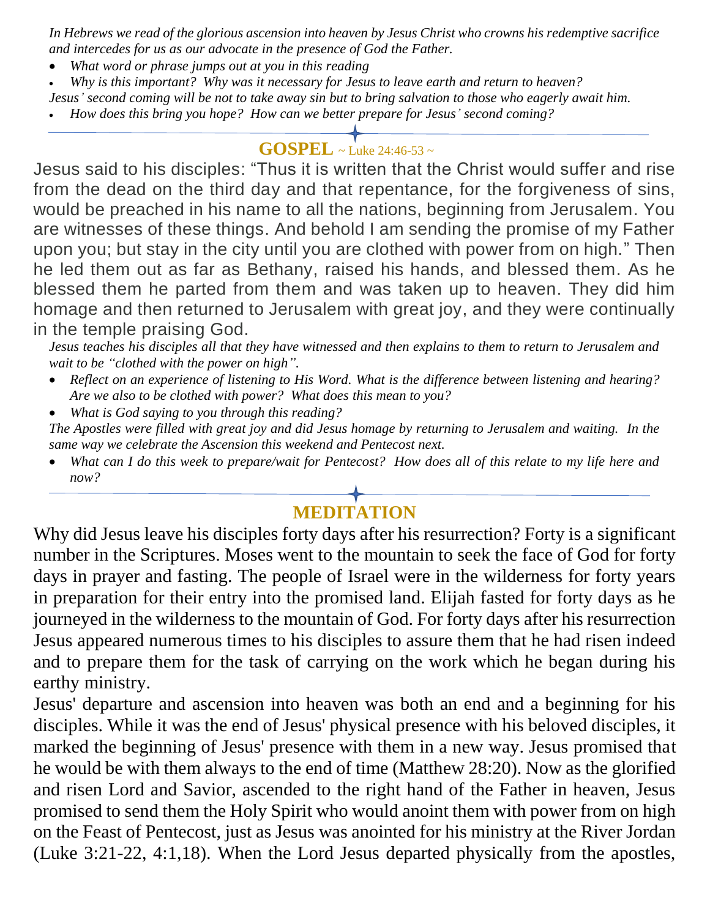*In Hebrews we read of the glorious ascension into heaven by Jesus Christ who crowns his redemptive sacrifice and intercedes for us as our advocate in the presence of God the Father.*

- *What word or phrase jumps out at you in this reading*
- *Why is this important? Why was it necessary for Jesus to leave earth and return to heaven?*
- *Jesus' second coming will be not to take away sin but to bring salvation to those who eagerly await him.*
- *How does this bring you hope? How can we better prepare for Jesus' second coming?*

## **GOSPEL** ~ Luke 24:46-53 <sup>~</sup>

Jesus said to his disciples: "Thus it is written that the Christ would suffer and rise from the dead on the third day and that repentance, for the forgiveness of sins, would be preached in his name to all the nations, beginning from Jerusalem. You are witnesses of these things. And behold I am sending the promise of my Father upon you; but stay in the city until you are clothed with power from on high." Then he led them out as far as Bethany, raised his hands, and blessed them. As he blessed them he parted from them and was taken up to heaven. They did him homage and then returned to Jerusalem with great joy, and they were continually in the temple praising God.

*Jesus teaches his disciples all that they have witnessed and then explains to them to return to Jerusalem and wait to be "clothed with the power on high".*

- *Reflect on an experience of listening to His Word. What is the difference between listening and hearing? Are we also to be clothed with power? What does this mean to you?*
- *What is God saying to you through this reading?*

*The Apostles were filled with great joy and did Jesus homage by returning to Jerusalem and waiting. In the same way we celebrate the Ascension this weekend and Pentecost next.*

 *What can I do this week to prepare/wait for Pentecost? How does all of this relate to my life here and now?*

# **MEDITATION**

Why did Jesus leave his disciples forty days after his resurrection? Forty is a significant number in the Scriptures. Moses went to the mountain to seek the face of God for forty days in prayer and fasting. The people of Israel were in the wilderness for forty years in preparation for their entry into the promised land. Elijah fasted for forty days as he journeyed in the wilderness to the mountain of God. For forty days after his resurrection Jesus appeared numerous times to his disciples to assure them that he had risen indeed and to prepare them for the task of carrying on the work which he began during his earthy ministry.

Jesus' departure and ascension into heaven was both an end and a beginning for his disciples. While it was the end of Jesus' physical presence with his beloved disciples, it marked the beginning of Jesus' presence with them in a new way. Jesus promised that he would be with them always to the end of time (Matthew 28:20). Now as the glorified and risen Lord and Savior, ascended to the right hand of the Father in heaven, Jesus promised to send them the Holy Spirit who would anoint them with power from on high on the Feast of Pentecost, just as Jesus was anointed for his ministry at the River Jordan (Luke 3:21-22, 4:1,18). When the Lord Jesus departed physically from the apostles,